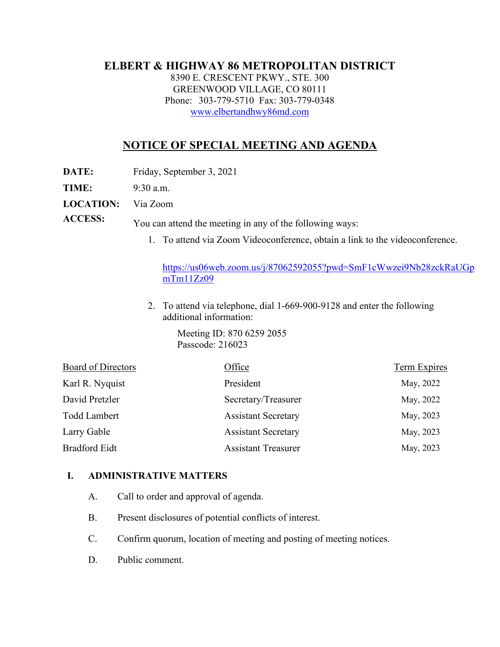# **ELBERT & HIGHWAY 86 METROPOLITAN DISTRICT**

8390 E. CRESCENT PKWY., STE. 300 GREENWOOD VILLAGE, CO 80111 Phone: 303-779-5710 Fax: 303-779-0348 [www.elbertandhwy86md.com](http://www.elbertandhwy86md.com/) 

# **NOTICE OF SPECIAL MEETING AND AGENDA**

**DATE:** Friday, September 3, 2021

**TIME:** 9:30 a.m.

**LOCATION:** Via Zoom

**ACCESS:** You can attend the meeting in any of the following ways:

1. To attend via Zoom Videoconference, obtain a link to the videoconference.

[https://us06web.zoom.us/j/87062592055?pwd=SmF1cWwzei9Nb28zckRaUGp](https://us06web.zoom.us/j/87062592055?pwd=SmF1cWwzei9Nb28zckRaUGpmTm11Zz09) [mTm11Zz09](https://us06web.zoom.us/j/87062592055?pwd=SmF1cWwzei9Nb28zckRaUGpmTm11Zz09)

2. To attend via telephone, dial 1-669-900-9128 and enter the following additional information:

> Meeting ID: 870 6259 2055 Passcode: 216023

| Board of Directors   | Office                     | Term Expires |
|----------------------|----------------------------|--------------|
| Karl R. Nyquist      | President                  | May, 2022    |
| David Pretzler       | Secretary/Treasurer        | May, 2022    |
| <b>Todd Lambert</b>  | <b>Assistant Secretary</b> | May, 2023    |
| Larry Gable          | <b>Assistant Secretary</b> | May, 2023    |
| <b>Bradford Eidt</b> | <b>Assistant Treasurer</b> | May, 2023    |

#### **I. ADMINISTRATIVE MATTERS**

- A. Call to order and approval of agenda.
- B. Present disclosures of potential conflicts of interest.
- C. Confirm quorum, location of meeting and posting of meeting notices.
- D. Public comment.